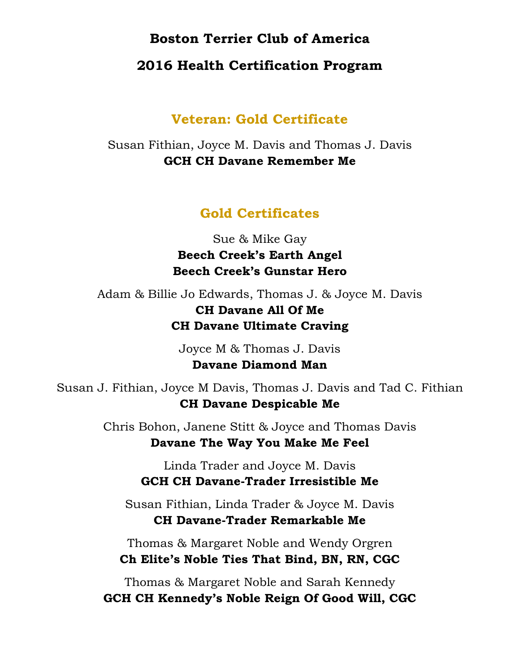## **Boston Terrier Club of America**

## **2016 Health Certification Program**

## **Veteran: Gold Certificate**

Susan Fithian, Joyce M. Davis and Thomas J. Davis **GCH CH Davane Remember Me**

## **Gold Certificates**

Sue & Mike Gay **Beech Creek's Earth Angel Beech Creek's Gunstar Hero**

Adam & Billie Jo Edwards, Thomas J. & Joyce M. Davis **CH Davane All Of Me CH Davane Ultimate Craving**

> Joyce M & Thomas J. Davis **Davane Diamond Man**

Susan J. Fithian, Joyce M Davis, Thomas J. Davis and Tad C. Fithian **CH Davane Despicable Me**

> Chris Bohon, Janene Stitt & Joyce and Thomas Davis **Davane The Way You Make Me Feel**

> > Linda Trader and Joyce M. Davis **GCH CH Davane-Trader Irresistible Me**

Susan Fithian, Linda Trader & Joyce M. Davis **CH Davane-Trader Remarkable Me**

Thomas & Margaret Noble and Wendy Orgren **Ch Elite's Noble Ties That Bind, BN, RN, CGC**

Thomas & Margaret Noble and Sarah Kennedy **GCH CH Kennedy's Noble Reign Of Good Will, CGC**